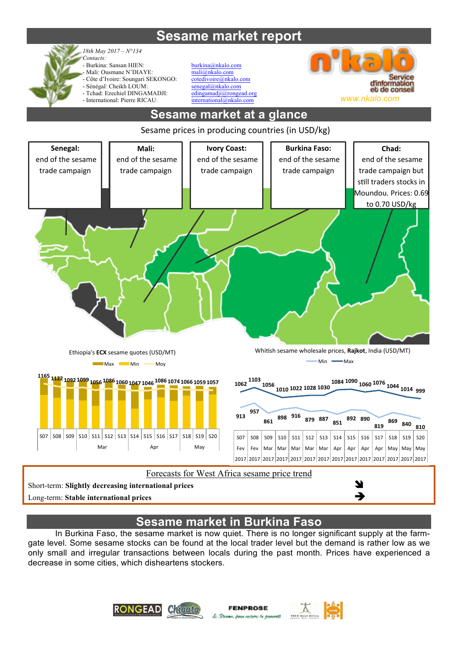# **Sesame market report**



*Contacts:*  - Burkina: Sansan HIEN: burkina@nkalo.com Mali: Ousmane N'DIAYE:<br>
Côte d'Ivoire: Soungari SEKONGO: contedivoire@nkalo.com Côte d'Ivoire: Soungari SEKONGO: - Sénégal: Cheikh LOUM: senegal@nkalo.com - Tchad: Ezechiel DINGAMADJI: edingamadji@rongead.org

*18th May 2017 – N°134*



# **Sesame market at a glance**



Short-term: Slightly decreasing international prices

Long-term: **Stable international prices** 

## **Sesame market in Burkina Faso**

In Burkina Faso, the sesame market is now quiet. There is no longer significant supply at the farmgate level. Some sesame stocks can be found at the local trader level but the demand is rather low as we only small and irregular transactions between locals during the past month. Prices have experienced a decrease in some cities, which disheartens stockers.



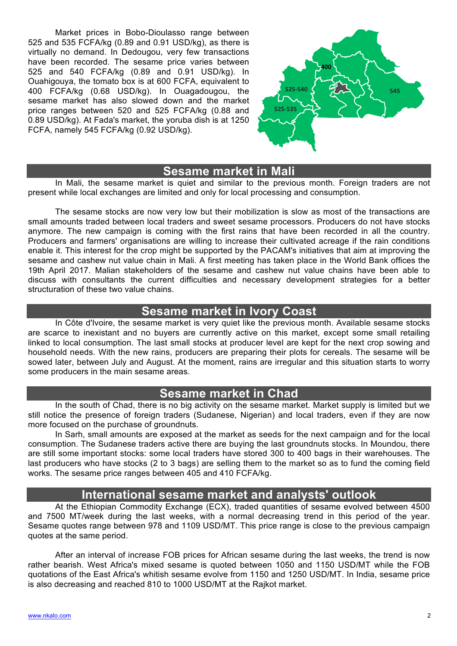Market prices in Bobo-Dioulasso range between 525 and 535 FCFA/kg (0.89 and 0.91 USD/kg), as there is virtually no demand. In Dedougou, very few transactions have been recorded. The sesame price varies between 525 and 540 FCFA/kg (0.89 and 0.91 USD/kg). In Ouahigouya, the tomato box is at 600 FCFA, equivalent to 400 FCFA/kg (0.68 USD/kg). In Ouagadougou, the sesame market has also slowed down and the market price ranges between 520 and 525 FCFA/kg (0.88 and 0.89 USD/kg). At Fada's market, the yoruba dish is at 1250 FCFA, namely 545 FCFA/kg (0.92 USD/kg).



#### **Sesame market in Mali**

In Mali, the sesame market is quiet and similar to the previous month. Foreign traders are not present while local exchanges are limited and only for local processing and consumption.

The sesame stocks are now very low but their mobilization is slow as most of the transactions are small amounts traded between local traders and sweet sesame processors. Producers do not have stocks anymore. The new campaign is coming with the first rains that have been recorded in all the country. Producers and farmers' organisations are willing to increase their cultivated acreage if the rain conditions enable it. This interest for the crop might be supported by the PACAM's initiatives that aim at improving the sesame and cashew nut value chain in Mali. A first meeting has taken place in the World Bank offices the 19th April 2017. Malian stakeholders of the sesame and cashew nut value chains have been able to discuss with consultants the current difficulties and necessary development strategies for a better structuration of these two value chains.

### **Sesame market in Ivory Coast**

In Côte d'Ivoire, the sesame market is very quiet like the previous month. Available sesame stocks are scarce to inexistant and no buyers are currently active on this market, except some small retailing linked to local consumption. The last small stocks at producer level are kept for the next crop sowing and household needs. With the new rains, producers are preparing their plots for cereals. The sesame will be sowed later, between July and August. At the moment, rains are irregular and this situation starts to worry some producers in the main sesame areas.

#### **Sesame market in Chad**

In the south of Chad, there is no big activity on the sesame market. Market supply is limited but we still notice the presence of foreign traders (Sudanese, Nigerian) and local traders, even if they are now more focused on the purchase of groundnuts.

In Sarh, small amounts are exposed at the market as seeds for the next campaign and for the local consumption. The Sudanese traders active there are buying the last groundnuts stocks. In Moundou, there are still some important stocks: some local traders have stored 300 to 400 bags in their warehouses. The last producers who have stocks (2 to 3 bags) are selling them to the market so as to fund the coming field works. The sesame price ranges between 405 and 410 FCFA/kg.

## **International sesame market and analysts' outlook**

At the Ethiopian Commodity Exchange (ECX), traded quantities of sesame evolved between 4500 and 7500 MT/week during the last weeks, with a normal decreasing trend in this period of the year. Sesame quotes range between 978 and 1109 USD/MT. This price range is close to the previous campaign quotes at the same period.

After an interval of increase FOB prices for African sesame during the last weeks, the trend is now rather bearish. West Africa's mixed sesame is quoted between 1050 and 1150 USD/MT while the FOB quotations of the East Africa's whitish sesame evolve from 1150 and 1250 USD/MT. In India, sesame price is also decreasing and reached 810 to 1000 USD/MT at the Rajkot market.